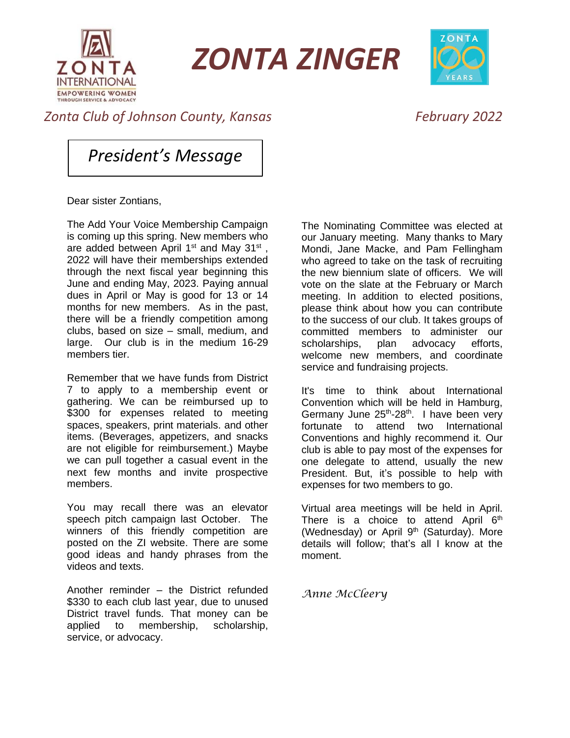

*ZONTA ZINGER*



## *Zonta Club of Johnson County, Kansas February 2022*

*President's Message*

Dear sister Zontians,

The Add Your Voice Membership Campaign is coming up this spring. New members who are added between April 1<sup>st</sup> and May 31<sup>st</sup>, 2022 will have their memberships extended through the next fiscal year beginning this June and ending May, 2023. Paying annual dues in April or May is good for 13 or 14 months for new members. As in the past, there will be a friendly competition among clubs, based on size – small, medium, and large. Our club is in the medium 16-29 members tier.

Remember that we have funds from District 7 to apply to a membership event or gathering. We can be reimbursed up to \$300 for expenses related to meeting spaces, speakers, print materials. and other items. (Beverages, appetizers, and snacks are not eligible for reimbursement.) Maybe we can pull together a casual event in the next few months and invite prospective members.

You may recall there was an elevator speech pitch campaign last October. The winners of this friendly competition are posted on the ZI website. There are some good ideas and handy phrases from the videos and texts.

Another reminder – the District refunded \$330 to each club last year, due to unused District travel funds. That money can be applied to membership, scholarship, service, or advocacy.

The Nominating Committee was elected at our January meeting. Many thanks to Mary Mondi, Jane Macke, and Pam Fellingham who agreed to take on the task of recruiting the new biennium slate of officers. We will vote on the slate at the February or March meeting. In addition to elected positions, please think about how you can contribute to the success of our club. It takes groups of committed members to administer our scholarships, plan advocacy efforts, welcome new members, and coordinate service and fundraising projects.

It's time to think about International Convention which will be held in Hamburg, Germany June 25<sup>th</sup>-28<sup>th</sup>. I have been very fortunate to attend two International Conventions and highly recommend it. Our club is able to pay most of the expenses for one delegate to attend, usually the new President. But, it's possible to help with expenses for two members to go.

Virtual area meetings will be held in April. There is a choice to attend April  $6<sup>th</sup>$ (Wednesday) or April 9<sup>th</sup> (Saturday). More details will follow; that's all I know at the moment.

*Anne McCleery*